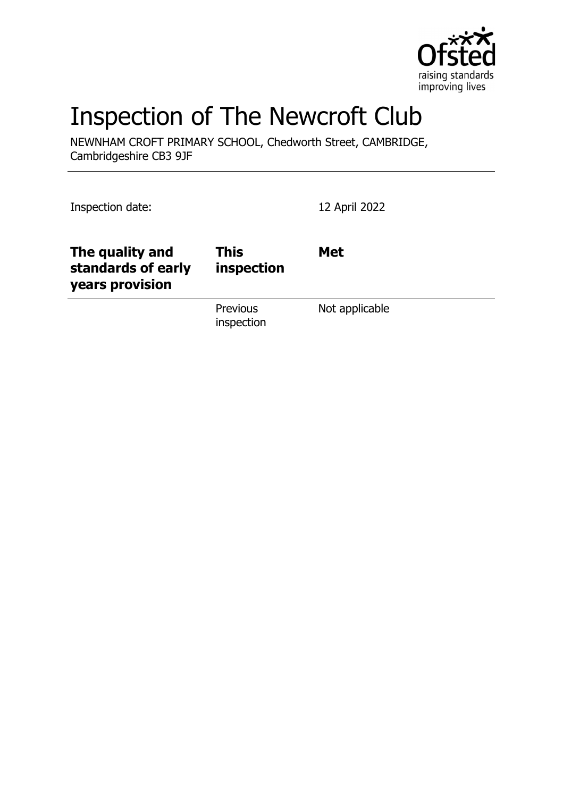

# Inspection of The Newcroft Club

NEWNHAM CROFT PRIMARY SCHOOL, Chedworth Street, CAMBRIDGE, Cambridgeshire CB3 9JF

Inspection date: 12 April 2022 **The quality and standards of early years provision This inspection Met** Previous inspection Not applicable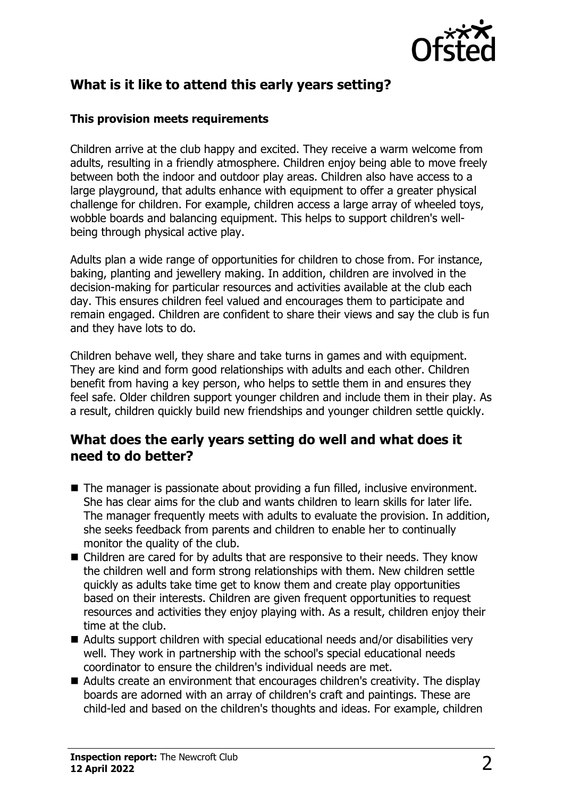

# **What is it like to attend this early years setting?**

#### **This provision meets requirements**

Children arrive at the club happy and excited. They receive a warm welcome from adults, resulting in a friendly atmosphere. Children enjoy being able to move freely between both the indoor and outdoor play areas. Children also have access to a large playground, that adults enhance with equipment to offer a greater physical challenge for children. For example, children access a large array of wheeled toys, wobble boards and balancing equipment. This helps to support children's wellbeing through physical active play.

Adults plan a wide range of opportunities for children to chose from. For instance, baking, planting and jewellery making. In addition, children are involved in the decision-making for particular resources and activities available at the club each day. This ensures children feel valued and encourages them to participate and remain engaged. Children are confident to share their views and say the club is fun and they have lots to do.

Children behave well, they share and take turns in games and with equipment. They are kind and form good relationships with adults and each other. Children benefit from having a key person, who helps to settle them in and ensures they feel safe. Older children support younger children and include them in their play. As a result, children quickly build new friendships and younger children settle quickly.

## **What does the early years setting do well and what does it need to do better?**

- $\blacksquare$  The manager is passionate about providing a fun filled, inclusive environment. She has clear aims for the club and wants children to learn skills for later life. The manager frequently meets with adults to evaluate the provision. In addition, she seeks feedback from parents and children to enable her to continually monitor the quality of the club.
- $\blacksquare$  Children are cared for by adults that are responsive to their needs. They know the children well and form strong relationships with them. New children settle quickly as adults take time get to know them and create play opportunities based on their interests. Children are given frequent opportunities to request resources and activities they enjoy playing with. As a result, children enjoy their time at the club.
- $\blacksquare$  Adults support children with special educational needs and/or disabilities very well. They work in partnership with the school's special educational needs coordinator to ensure the children's individual needs are met.
- $\blacksquare$  Adults create an environment that encourages children's creativity. The display boards are adorned with an array of children's craft and paintings. These are child-led and based on the children's thoughts and ideas. For example, children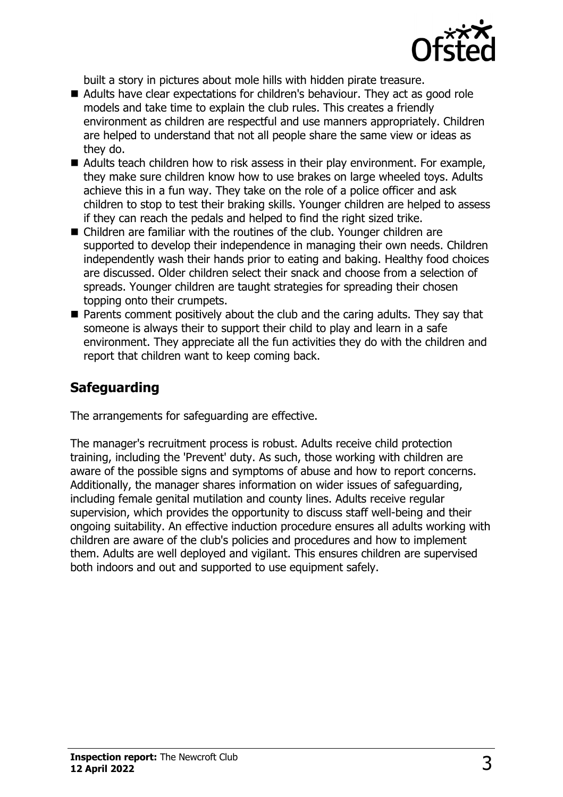

built a story in pictures about mole hills with hidden pirate treasure.

- Adults have clear expectations for children's behaviour. They act as good role models and take time to explain the club rules. This creates a friendly environment as children are respectful and use manners appropriately. Children are helped to understand that not all people share the same view or ideas as they do.
- $\blacksquare$  Adults teach children how to risk assess in their play environment. For example, they make sure children know how to use brakes on large wheeled toys. Adults achieve this in a fun way. They take on the role of a police officer and ask children to stop to test their braking skills. Younger children are helped to assess if they can reach the pedals and helped to find the right sized trike.
- $\blacksquare$  Children are familiar with the routines of the club. Younger children are supported to develop their independence in managing their own needs. Children independently wash their hands prior to eating and baking. Healthy food choices are discussed. Older children select their snack and choose from a selection of spreads. Younger children are taught strategies for spreading their chosen topping onto their crumpets.
- $\blacksquare$  Parents comment positively about the club and the caring adults. They say that someone is always their to support their child to play and learn in a safe environment. They appreciate all the fun activities they do with the children and report that children want to keep coming back.

# **Safeguarding**

The arrangements for safeguarding are effective.

The manager's recruitment process is robust. Adults receive child protection training, including the 'Prevent' duty. As such, those working with children are aware of the possible signs and symptoms of abuse and how to report concerns. Additionally, the manager shares information on wider issues of safeguarding, including female genital mutilation and county lines. Adults receive regular supervision, which provides the opportunity to discuss staff well-being and their ongoing suitability. An effective induction procedure ensures all adults working with children are aware of the club's policies and procedures and how to implement them. Adults are well deployed and vigilant. This ensures children are supervised both indoors and out and supported to use equipment safely.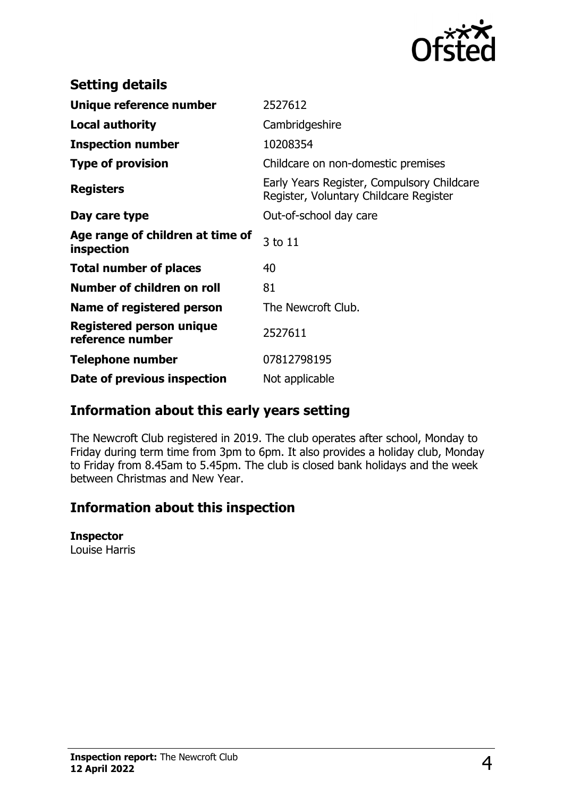

| <b>Setting details</b>                         |                                                                                      |
|------------------------------------------------|--------------------------------------------------------------------------------------|
| Unique reference number                        | 2527612                                                                              |
| <b>Local authority</b>                         | Cambridgeshire                                                                       |
| <b>Inspection number</b>                       | 10208354                                                                             |
| <b>Type of provision</b>                       | Childcare on non-domestic premises                                                   |
| <b>Registers</b>                               | Early Years Register, Compulsory Childcare<br>Register, Voluntary Childcare Register |
| Day care type                                  | Out-of-school day care                                                               |
| Age range of children at time of<br>inspection | 3 to 11                                                                              |
| <b>Total number of places</b>                  | 40                                                                                   |
| Number of children on roll                     | 81                                                                                   |
| Name of registered person                      | The Newcroft Club.                                                                   |
| Registered person unique<br>reference number   | 2527611                                                                              |
| <b>Telephone number</b>                        | 07812798195                                                                          |
| Date of previous inspection                    | Not applicable                                                                       |

## **Information about this early years setting**

The Newcroft Club registered in 2019. The club operates after school, Monday to Friday during term time from 3pm to 6pm. It also provides a holiday club, Monday to Friday from 8.45am to 5.45pm. The club is closed bank holidays and the week between Christmas and New Year.

# **Information about this inspection**

#### **Inspector**

Louise Harris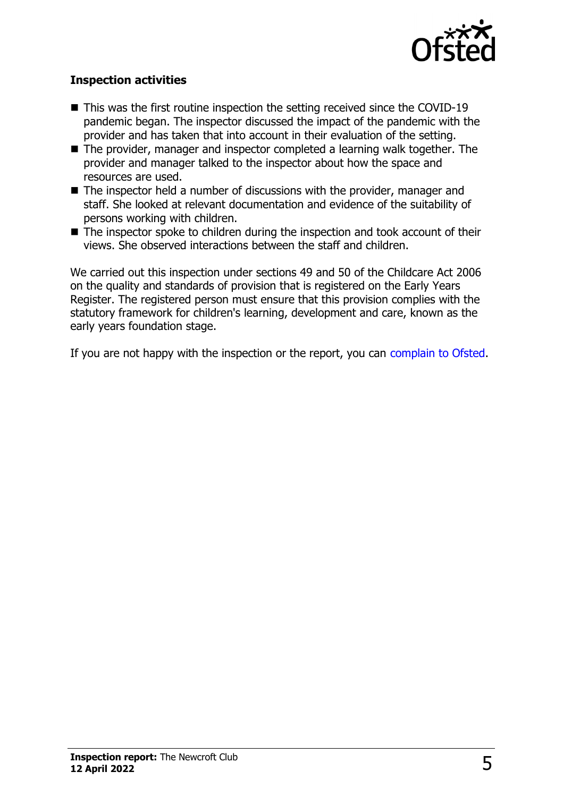

### **Inspection activities**

- $\blacksquare$  This was the first routine inspection the setting received since the COVID-19 pandemic began. The inspector discussed the impact of the pandemic with the provider and has taken that into account in their evaluation of the setting.
- $\blacksquare$  The provider, manager and inspector completed a learning walk together. The provider and manager talked to the inspector about how the space and resources are used.
- $\blacksquare$  The inspector held a number of discussions with the provider, manager and staff. She looked at relevant documentation and evidence of the suitability of persons working with children.
- $\blacksquare$  The inspector spoke to children during the inspection and took account of their views. She observed interactions between the staff and children.

We carried out this inspection under sections 49 and 50 of the Childcare Act 2006 on the quality and standards of provision that is registered on the Early Years Register. The registered person must ensure that this provision complies with the statutory framework for children's learning, development and care, known as the early years foundation stage.

If you are not happy with the inspection or the report, you can [complain to Ofsted](http://www.gov.uk/complain-ofsted-report).